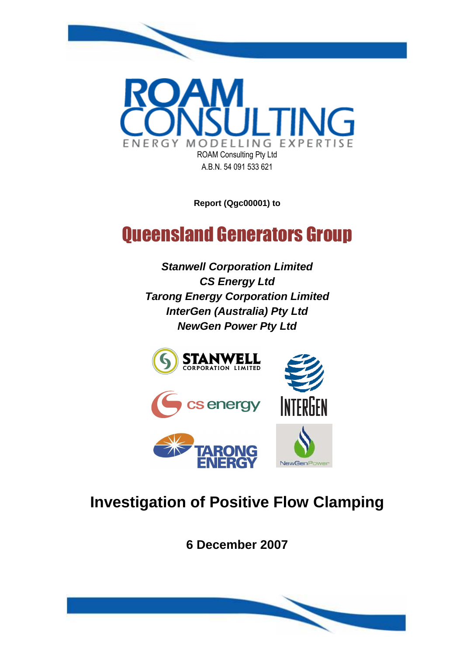

**Report (Qgc00001) to** 

# Queensland Generators Group

**Stanwell Corporation Limited CS Energy Ltd Tarong Energy Corporation Limited InterGen (Australia) Pty Ltd NewGen Power Pty Ltd** 



# **Investigation of Positive Flow Clamping**

**6 December 2007**

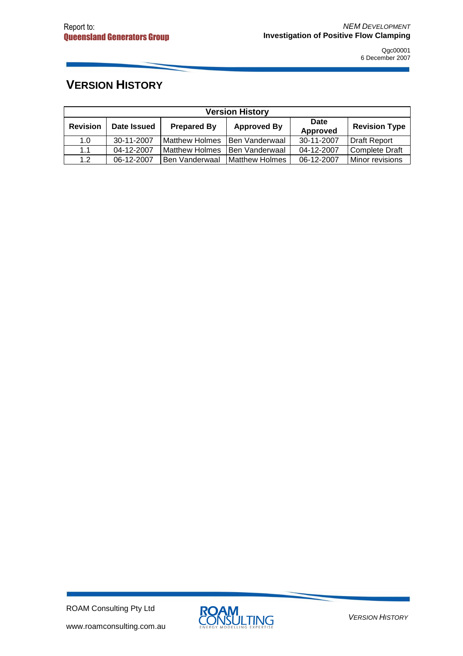# **VERSION HISTORY**

| <b>Version History</b> |             |                       |                    |                  |                      |  |  |  |
|------------------------|-------------|-----------------------|--------------------|------------------|----------------------|--|--|--|
| <b>Revision</b>        | Date Issued | <b>Prepared By</b>    | <b>Approved By</b> | Date<br>Approved | <b>Revision Type</b> |  |  |  |
| 1.0                    | 30-11-2007  | <b>Matthew Holmes</b> | Ben Vanderwaal     | 30-11-2007       | Draft Report         |  |  |  |
| 1.1                    | 04-12-2007  | <b>Matthew Holmes</b> | Ben Vanderwaal     | 04-12-2007       | Complete Draft       |  |  |  |
| 1.2                    | 06-12-2007  | <b>Ben Vanderwaal</b> | Matthew Holmes     | 06-12-2007       | Minor revisions      |  |  |  |

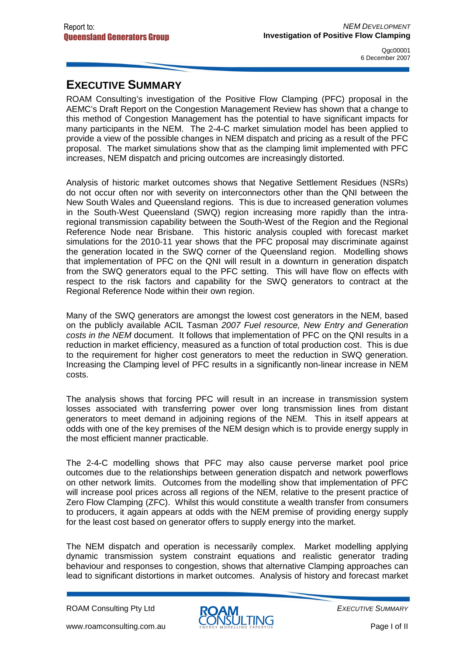### **EXECUTIVE SUMMARY**

ROAM Consulting's investigation of the Positive Flow Clamping (PFC) proposal in the AEMC's Draft Report on the Congestion Management Review has shown that a change to this method of Congestion Management has the potential to have significant impacts for many participants in the NEM. The 2-4-C market simulation model has been applied to provide a view of the possible changes in NEM dispatch and pricing as a result of the PFC proposal. The market simulations show that as the clamping limit implemented with PFC increases, NEM dispatch and pricing outcomes are increasingly distorted.

Analysis of historic market outcomes shows that Negative Settlement Residues (NSRs) do not occur often nor with severity on interconnectors other than the QNI between the New South Wales and Queensland regions. This is due to increased generation volumes in the South-West Queensland (SWQ) region increasing more rapidly than the intraregional transmission capability between the South-West of the Region and the Regional Reference Node near Brisbane. This historic analysis coupled with forecast market simulations for the 2010-11 year shows that the PFC proposal may discriminate against the generation located in the SWQ corner of the Queensland region. Modelling shows that implementation of PFC on the QNI will result in a downturn in generation dispatch from the SWQ generators equal to the PFC setting. This will have flow on effects with respect to the risk factors and capability for the SWQ generators to contract at the Regional Reference Node within their own region.

Many of the SWQ generators are amongst the lowest cost generators in the NEM, based on the publicly available ACIL Tasman 2007 Fuel resource, New Entry and Generation costs in the NEM document. It follows that implementation of PFC on the QNI results in a reduction in market efficiency, measured as a function of total production cost. This is due to the requirement for higher cost generators to meet the reduction in SWQ generation. Increasing the Clamping level of PFC results in a significantly non-linear increase in NEM costs.

The analysis shows that forcing PFC will result in an increase in transmission system losses associated with transferring power over long transmission lines from distant generators to meet demand in adjoining regions of the NEM. This in itself appears at odds with one of the key premises of the NEM design which is to provide energy supply in the most efficient manner practicable.

The 2-4-C modelling shows that PFC may also cause perverse market pool price outcomes due to the relationships between generation dispatch and network powerflows on other network limits. Outcomes from the modelling show that implementation of PFC will increase pool prices across all regions of the NEM, relative to the present practice of Zero Flow Clamping (ZFC). Whilst this would constitute a wealth transfer from consumers to producers, it again appears at odds with the NEM premise of providing energy supply for the least cost based on generator offers to supply energy into the market.

The NEM dispatch and operation is necessarily complex. Market modelling applying dynamic transmission system constraint equations and realistic generator trading behaviour and responses to congestion, shows that alternative Clamping approaches can lead to significant distortions in market outcomes. Analysis of history and forecast market

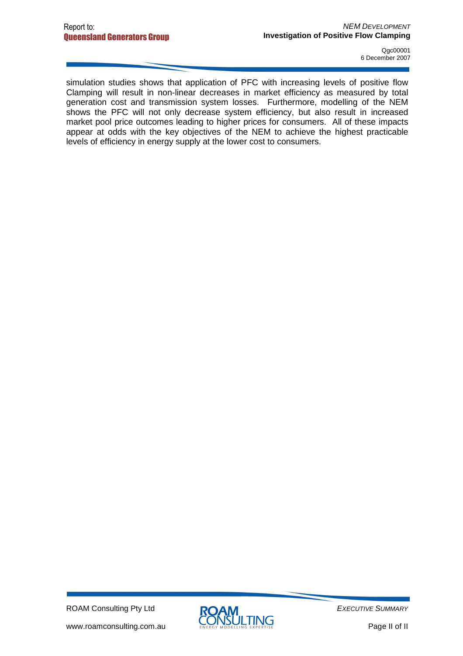simulation studies shows that application of PFC with increasing levels of positive flow Clamping will result in non-linear decreases in market efficiency as measured by total generation cost and transmission system losses. Furthermore, modelling of the NEM shows the PFC will not only decrease system efficiency, but also result in increased market pool price outcomes leading to higher prices for consumers. All of these impacts appear at odds with the key objectives of the NEM to achieve the highest practicable levels of efficiency in energy supply at the lower cost to consumers.

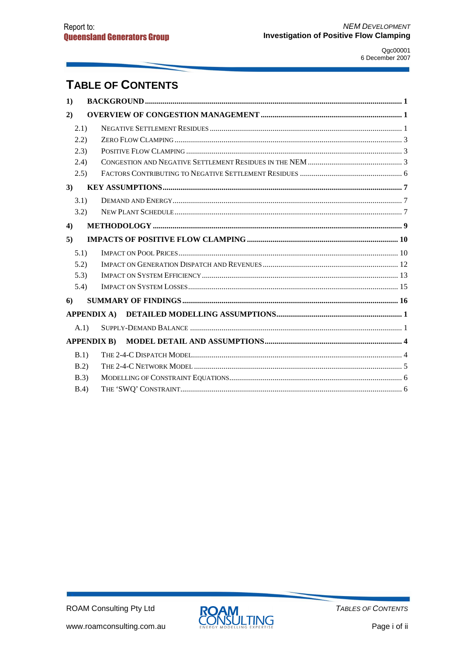# **TABLE OF CONTENTS**

| 1)    |                    |  |
|-------|--------------------|--|
| 2)    |                    |  |
| 2.1)  |                    |  |
| 2.2)  |                    |  |
| (2.3) |                    |  |
| (2.4) |                    |  |
| (2.5) |                    |  |
| 3)    |                    |  |
| 3.1)  |                    |  |
| 3.2)  |                    |  |
| 4)    |                    |  |
| 5)    |                    |  |
| 5.1)  |                    |  |
| 5.2)  |                    |  |
| 5.3)  |                    |  |
| 5.4)  |                    |  |
| 6     |                    |  |
|       |                    |  |
| (A.1) |                    |  |
|       | <b>APPENDIX B)</b> |  |
| B.1)  |                    |  |
| B.2   |                    |  |
| B.3)  |                    |  |
| B.4   |                    |  |

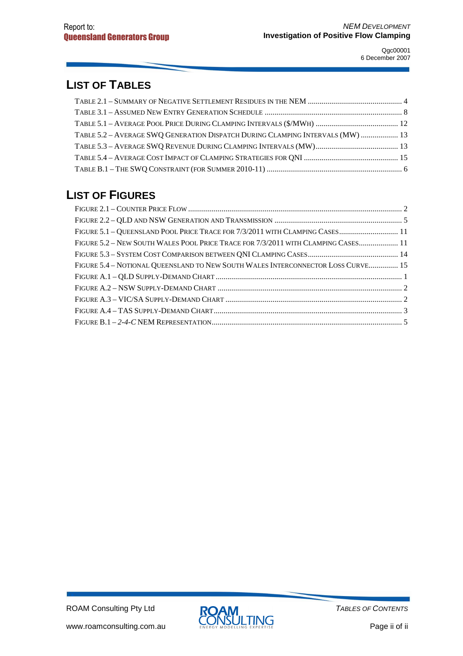# **LIST OF TABLES**

| TABLE 5.2 - AVERAGE SWQ GENERATION DISPATCH DURING CLAMPING INTERVALS (MW)  13 |  |
|--------------------------------------------------------------------------------|--|
|                                                                                |  |
|                                                                                |  |
|                                                                                |  |

### **LIST OF FIGURES**

| FIGURE 5.1 - QUEENSLAND POOL PRICE TRACE FOR 7/3/2011 WITH CLAMPING CASES 11      |  |
|-----------------------------------------------------------------------------------|--|
| FIGURE 5.2 – NEW SOUTH WALES POOL PRICE TRACE FOR 7/3/2011 WITH CLAMPING CASES 11 |  |
|                                                                                   |  |
| FIGURE 5.4 - NOTIONAL QUEENSLAND TO NEW SOUTH WALES INTERCONNECTOR LOSS CURVE 15  |  |
|                                                                                   |  |
|                                                                                   |  |
|                                                                                   |  |
|                                                                                   |  |
|                                                                                   |  |

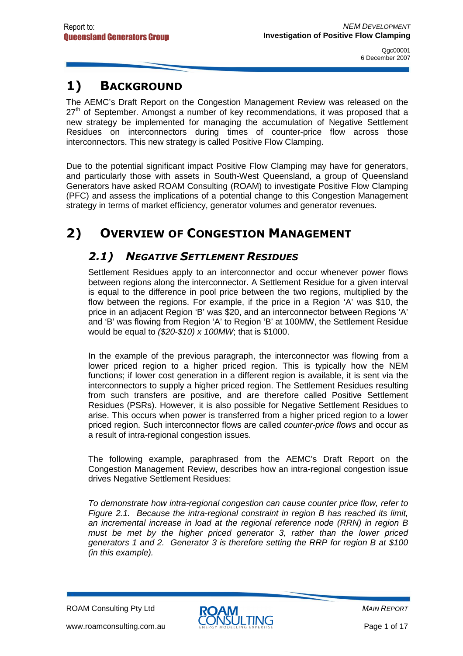# 1) BACKGROUND

The AEMC's Draft Report on the Congestion Management Review was released on the  $27<sup>th</sup>$  of September. Amongst a number of key recommendations, it was proposed that a new strategy be implemented for managing the accumulation of Negative Settlement Residues on interconnectors during times of counter-price flow across those interconnectors. This new strategy is called Positive Flow Clamping.

Due to the potential significant impact Positive Flow Clamping may have for generators, and particularly those with assets in South-West Queensland, a group of Queensland Generators have asked ROAM Consulting (ROAM) to investigate Positive Flow Clamping (PFC) and assess the implications of a potential change to this Congestion Management strategy in terms of market efficiency, generator volumes and generator revenues.

# 2) OVERVIEW OF CONGESTION MANAGEMENT

#### 2.1) NEGATIVE SETTLEMENT RESIDUES

Settlement Residues apply to an interconnector and occur whenever power flows between regions along the interconnector. A Settlement Residue for a given interval is equal to the difference in pool price between the two regions, multiplied by the flow between the regions. For example, if the price in a Region 'A' was \$10, the price in an adjacent Region 'B' was \$20, and an interconnector between Regions 'A' and 'B' was flowing from Region 'A' to Region 'B' at 100MW, the Settlement Residue would be equal to (\$20-\$10) x 100MW; that is \$1000.

In the example of the previous paragraph, the interconnector was flowing from a lower priced region to a higher priced region. This is typically how the NEM functions; if lower cost generation in a different region is available, it is sent via the interconnectors to supply a higher priced region. The Settlement Residues resulting from such transfers are positive, and are therefore called Positive Settlement Residues (PSRs). However, it is also possible for Negative Settlement Residues to arise. This occurs when power is transferred from a higher priced region to a lower priced region. Such interconnector flows are called counter-price flows and occur as a result of intra-regional congestion issues.

The following example, paraphrased from the AEMC's Draft Report on the Congestion Management Review, describes how an intra-regional congestion issue drives Negative Settlement Residues:

To demonstrate how intra-regional congestion can cause counter price flow, refer to Figure 2.1. Because the intra-regional constraint in region B has reached its limit, an incremental increase in load at the regional reference node (RRN) in region B must be met by the higher priced generator 3, rather than the lower priced generators 1 and 2. Generator 3 is therefore setting the RRP for region B at \$100 (in this example).

ROAM Consulting Pty Ltd

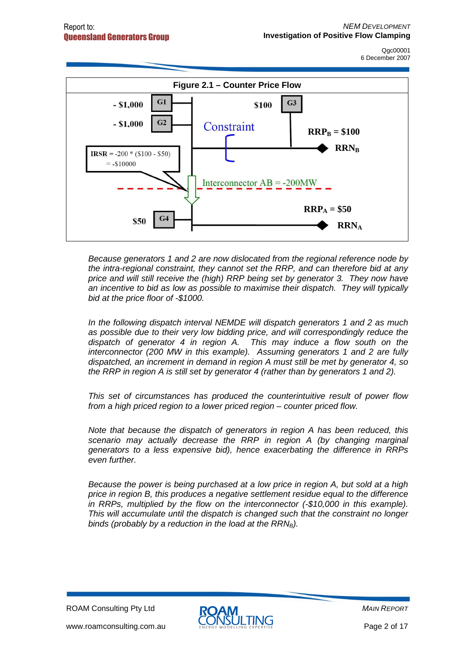

Because generators 1 and 2 are now dislocated from the regional reference node by the intra-regional constraint, they cannot set the RRP, and can therefore bid at any price and will still receive the (high) RRP being set by generator 3. They now have an incentive to bid as low as possible to maximise their dispatch. They will typically bid at the price floor of -\$1000.

In the following dispatch interval NEMDE will dispatch generators 1 and 2 as much as possible due to their very low bidding price, and will correspondingly reduce the dispatch of generator 4 in region A. This may induce a flow south on the interconnector (200 MW in this example). Assuming generators 1 and 2 are fully dispatched, an increment in demand in region A must still be met by generator 4, so the RRP in region A is still set by generator 4 (rather than by generators 1 and 2).

This set of circumstances has produced the counterintuitive result of power flow from a high priced region to a lower priced region – counter priced flow.

Note that because the dispatch of generators in region A has been reduced, this scenario may actually decrease the RRP in region A (by changing marginal generators to a less expensive bid), hence exacerbating the difference in RRPs even further.

Because the power is being purchased at a low price in region A, but sold at a high price in region B, this produces a negative settlement residue equal to the difference in RRPs, multiplied by the flow on the interconnector (-\$10,000 in this example). This will accumulate until the dispatch is changed such that the constraint no longer binds (probably by a reduction in the load at the  $RRN_B$ ).

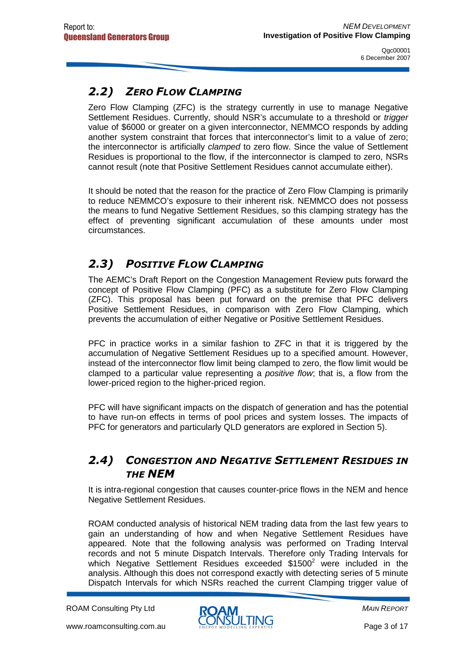### 2.2) ZERO FLOW CLAMPING

Zero Flow Clamping (ZFC) is the strategy currently in use to manage Negative Settlement Residues. Currently, should NSR's accumulate to a threshold or *trigger* value of \$6000 or greater on a given interconnector, NEMMCO responds by adding another system constraint that forces that interconnector's limit to a value of zero; the interconnector is artificially clamped to zero flow. Since the value of Settlement Residues is proportional to the flow, if the interconnector is clamped to zero, NSRs cannot result (note that Positive Settlement Residues cannot accumulate either).

It should be noted that the reason for the practice of Zero Flow Clamping is primarily to reduce NEMMCO's exposure to their inherent risk. NEMMCO does not possess the means to fund Negative Settlement Residues, so this clamping strategy has the effect of preventing significant accumulation of these amounts under most circumstances.

#### 2.3) POSITIVE FLOW CLAMPING

The AEMC's Draft Report on the Congestion Management Review puts forward the concept of Positive Flow Clamping (PFC) as a substitute for Zero Flow Clamping (ZFC). This proposal has been put forward on the premise that PFC delivers Positive Settlement Residues, in comparison with Zero Flow Clamping, which prevents the accumulation of either Negative or Positive Settlement Residues.

PFC in practice works in a similar fashion to ZFC in that it is triggered by the accumulation of Negative Settlement Residues up to a specified amount. However, instead of the interconnector flow limit being clamped to zero, the flow limit would be clamped to a particular value representing a positive flow; that is, a flow from the lower-priced region to the higher-priced region.

PFC will have significant impacts on the dispatch of generation and has the potential to have run-on effects in terms of pool prices and system losses. The impacts of PFC for generators and particularly QLD generators are explored in Section 5).

#### 2.4) CONGESTION AND NEGATIVE SETTLEMENT RESIDUES IN THE NEM

It is intra-regional congestion that causes counter-price flows in the NEM and hence Negative Settlement Residues.

ROAM conducted analysis of historical NEM trading data from the last few years to gain an understanding of how and when Negative Settlement Residues have appeared. Note that the following analysis was performed on Trading Interval records and not 5 minute Dispatch Intervals. Therefore only Trading Intervals for which Negative Settlement Residues exceeded  $$1500<sup>2</sup>$  were included in the analysis. Although this does not correspond exactly with detecting series of 5 minute Dispatch Intervals for which NSRs reached the current Clamping trigger value of

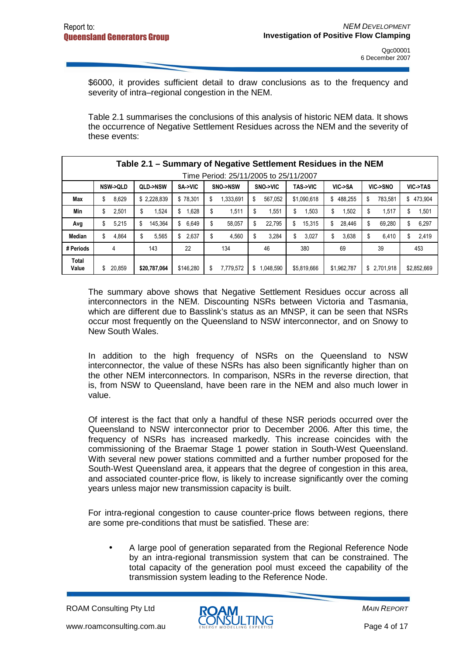\$6000, it provides sufficient detail to draw conclusions as to the frequency and severity of intra–regional congestion in the NEM.

Table 2.1 summarises the conclusions of this analysis of historic NEM data. It shows the occurrence of Negative Settlement Residues across the NEM and the severity of these events:

|                | Table 2.1 – Summary of Negative Settlement Residues in the NEM |               |             |                 |                |                    |              |               |              |  |  |
|----------------|----------------------------------------------------------------|---------------|-------------|-----------------|----------------|--------------------|--------------|---------------|--------------|--|--|
|                | Time Period: 25/11/2005 to 25/11/2007                          |               |             |                 |                |                    |              |               |              |  |  |
|                | <b>NSW-&gt;QLD</b>                                             | QLD->NSW      | SA->VIC     | SNO->NSW        | SNO->VIC       | <b>TAS-&gt;VIC</b> | VIC->SA      | VIC->SNO      | VIC->TAS     |  |  |
| Max            | 8,629<br>\$                                                    | \$2,228,839   | \$78.301    | 1,333,691<br>\$ | \$<br>567,052  | \$1,090,618        | \$488.255    | 783.581<br>\$ | \$473,904    |  |  |
| Min            | \$<br>2,501                                                    | 1.524<br>\$   | .628<br>\$  | \$<br>1,511     | \$<br>1,551    | \$<br>.503         | 1,502<br>\$  | \$<br>1.517   | 1,501<br>\$  |  |  |
| Avg            | 5,215<br>\$                                                    | \$<br>145.364 | 6,649<br>\$ | \$<br>58,057    | \$<br>22.795   | \$<br>15,315       | 28,446<br>\$ | \$<br>69.280  | 6,297<br>\$  |  |  |
| Median         | 4,864<br>\$                                                    | 5.565<br>\$   | 2.637<br>S  | \$<br>4.560     | 3.284<br>\$    | 3,027<br>\$        | 3,638<br>\$  | 6.410<br>S    | 2,419<br>\$. |  |  |
| # Periods      | 4                                                              | 143           | 22          | 134             | 46             | 380                | 69           | 39            | 453          |  |  |
| Total<br>Value | 20,859<br>S                                                    | \$20,787,064  | \$146.280   | 7,779,572<br>S  | ,048,590<br>\$ | \$5,819,666        | \$1,962,787  | \$2,701,918   | \$2,852,669  |  |  |

The summary above shows that Negative Settlement Residues occur across all interconnectors in the NEM. Discounting NSRs between Victoria and Tasmania, which are different due to Basslink's status as an MNSP, it can be seen that NSRs occur most frequently on the Queensland to NSW interconnector, and on Snowy to New South Wales.

In addition to the high frequency of NSRs on the Queensland to NSW interconnector, the value of these NSRs has also been significantly higher than on the other NEM interconnectors. In comparison, NSRs in the reverse direction, that is, from NSW to Queensland, have been rare in the NEM and also much lower in value.

Of interest is the fact that only a handful of these NSR periods occurred over the Queensland to NSW interconnector prior to December 2006. After this time, the frequency of NSRs has increased markedly. This increase coincides with the commissioning of the Braemar Stage 1 power station in South-West Queensland. With several new power stations committed and a further number proposed for the South-West Queensland area, it appears that the degree of congestion in this area, and associated counter-price flow, is likely to increase significantly over the coming years unless major new transmission capacity is built.

For intra-regional congestion to cause counter-price flows between regions, there are some pre-conditions that must be satisfied. These are:

• A large pool of generation separated from the Regional Reference Node by an intra-regional transmission system that can be constrained. The total capacity of the generation pool must exceed the capability of the transmission system leading to the Reference Node.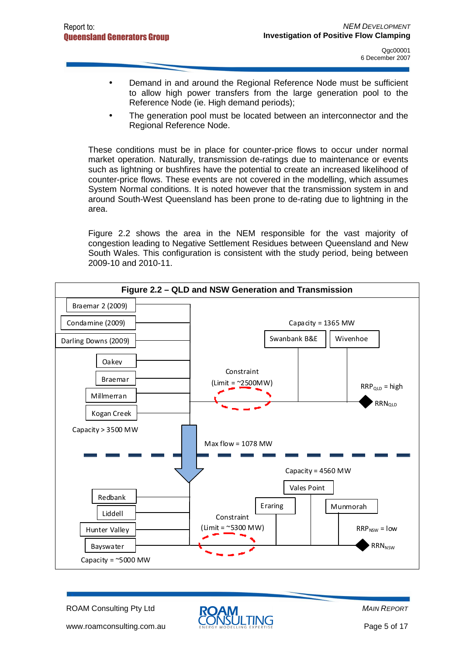- Demand in and around the Regional Reference Node must be sufficient to allow high power transfers from the large generation pool to the Reference Node (ie. High demand periods);
- The generation pool must be located between an interconnector and the Regional Reference Node.

These conditions must be in place for counter-price flows to occur under normal market operation. Naturally, transmission de-ratings due to maintenance or events such as lightning or bushfires have the potential to create an increased likelihood of counter-price flows. These events are not covered in the modelling, which assumes System Normal conditions. It is noted however that the transmission system in and around South-West Queensland has been prone to de-rating due to lightning in the area.

Figure 2.2 shows the area in the NEM responsible for the vast majority of congestion leading to Negative Settlement Residues between Queensland and New South Wales. This configuration is consistent with the study period, being between 2009-10 and 2010-11.



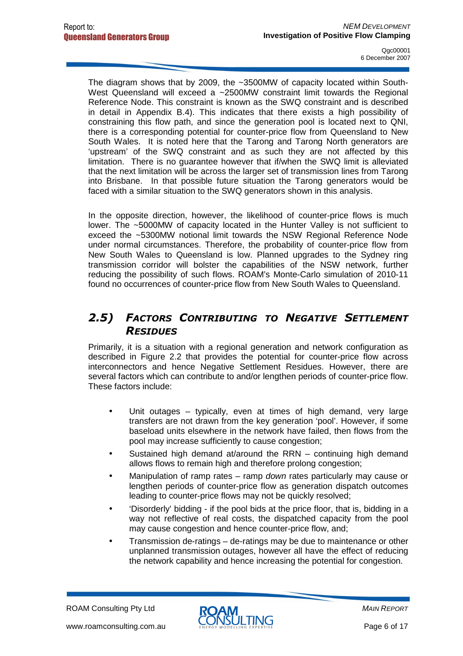The diagram shows that by 2009, the ~3500MW of capacity located within South-West Queensland will exceed a ~2500MW constraint limit towards the Regional Reference Node. This constraint is known as the SWQ constraint and is described in detail in Appendix B.4). This indicates that there exists a high possibility of constraining this flow path, and since the generation pool is located next to QNI, there is a corresponding potential for counter-price flow from Queensland to New South Wales. It is noted here that the Tarong and Tarong North generators are 'upstream' of the SWQ constraint and as such they are not affected by this limitation. There is no guarantee however that if/when the SWQ limit is alleviated that the next limitation will be across the larger set of transmission lines from Tarong into Brisbane. In that possible future situation the Tarong generators would be faced with a similar situation to the SWQ generators shown in this analysis.

In the opposite direction, however, the likelihood of counter-price flows is much lower. The ~5000MW of capacity located in the Hunter Valley is not sufficient to exceed the ~5300MW notional limit towards the NSW Regional Reference Node under normal circumstances. Therefore, the probability of counter-price flow from New South Wales to Queensland is low. Planned upgrades to the Sydney ring transmission corridor will bolster the capabilities of the NSW network, further reducing the possibility of such flows. ROAM's Monte-Carlo simulation of 2010-11 found no occurrences of counter-price flow from New South Wales to Queensland.

#### 2.5) FACTORS CONTRIBUTING TO NEGATIVE SETTLEMENT **RESIDUES**

Primarily, it is a situation with a regional generation and network configuration as described in Figure 2.2 that provides the potential for counter-price flow across interconnectors and hence Negative Settlement Residues. However, there are several factors which can contribute to and/or lengthen periods of counter-price flow. These factors include:

- Unit outages typically, even at times of high demand, very large transfers are not drawn from the key generation 'pool'. However, if some baseload units elsewhere in the network have failed, then flows from the pool may increase sufficiently to cause congestion;
- Sustained high demand at/around the RRN continuing high demand allows flows to remain high and therefore prolong congestion;
- Manipulation of ramp rates ramp down rates particularly may cause or lengthen periods of counter-price flow as generation dispatch outcomes leading to counter-price flows may not be quickly resolved;
- 'Disorderly' bidding if the pool bids at the price floor, that is, bidding in a way not reflective of real costs, the dispatched capacity from the pool may cause congestion and hence counter-price flow, and;
- Transmission de-ratings de-ratings may be due to maintenance or other unplanned transmission outages, however all have the effect of reducing the network capability and hence increasing the potential for congestion.

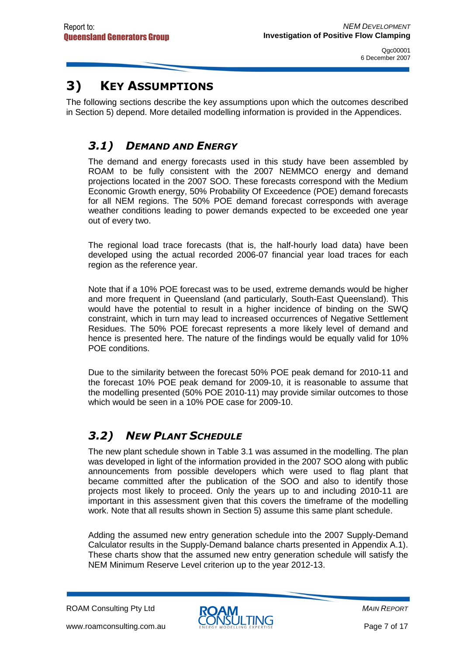# 3) KEY ASSUMPTIONS

The following sections describe the key assumptions upon which the outcomes described in Section 5) depend. More detailed modelling information is provided in the Appendices.

### 3.1) DEMAND AND ENERGY

The demand and energy forecasts used in this study have been assembled by ROAM to be fully consistent with the 2007 NEMMCO energy and demand projections located in the 2007 SOO. These forecasts correspond with the Medium Economic Growth energy, 50% Probability Of Exceedence (POE) demand forecasts for all NEM regions. The 50% POE demand forecast corresponds with average weather conditions leading to power demands expected to be exceeded one year out of every two.

The regional load trace forecasts (that is, the half-hourly load data) have been developed using the actual recorded 2006-07 financial year load traces for each region as the reference year.

Note that if a 10% POE forecast was to be used, extreme demands would be higher and more frequent in Queensland (and particularly, South-East Queensland). This would have the potential to result in a higher incidence of binding on the SWQ constraint, which in turn may lead to increased occurrences of Negative Settlement Residues. The 50% POE forecast represents a more likely level of demand and hence is presented here. The nature of the findings would be equally valid for 10% POE conditions.

Due to the similarity between the forecast 50% POE peak demand for 2010-11 and the forecast 10% POE peak demand for 2009-10, it is reasonable to assume that the modelling presented (50% POE 2010-11) may provide similar outcomes to those which would be seen in a 10% POE case for 2009-10.

### 3.2) NEW PLANT SCHEDULE

The new plant schedule shown in Table 3.1 was assumed in the modelling. The plan was developed in light of the information provided in the 2007 SOO along with public announcements from possible developers which were used to flag plant that became committed after the publication of the SOO and also to identify those projects most likely to proceed. Only the years up to and including 2010-11 are important in this assessment given that this covers the timeframe of the modelling work. Note that all results shown in Section 5) assume this same plant schedule.

Adding the assumed new entry generation schedule into the 2007 Supply-Demand Calculator results in the Supply-Demand balance charts presented in Appendix A.1). These charts show that the assumed new entry generation schedule will satisfy the NEM Minimum Reserve Level criterion up to the year 2012-13.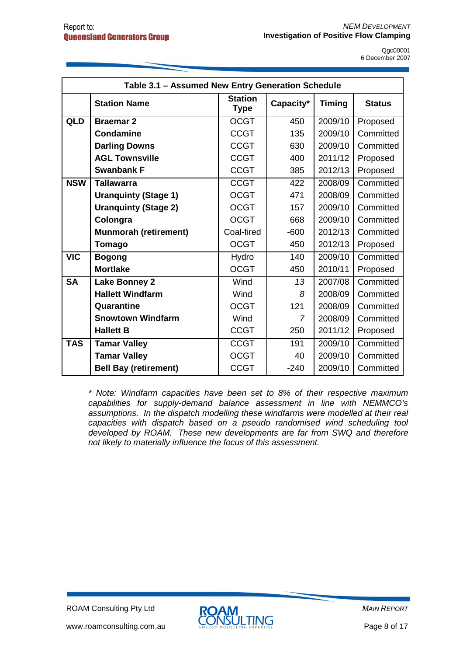| Table 3.1 - Assumed New Entry Generation Schedule |                              |                               |                |               |               |  |  |  |
|---------------------------------------------------|------------------------------|-------------------------------|----------------|---------------|---------------|--|--|--|
|                                                   | <b>Station Name</b>          | <b>Station</b><br><b>Type</b> | Capacity*      | <b>Timing</b> | <b>Status</b> |  |  |  |
| QLD                                               | <b>Braemar 2</b>             | <b>OCGT</b>                   | 450            | 2009/10       | Proposed      |  |  |  |
|                                                   | <b>Condamine</b>             | <b>CCGT</b>                   | 135            | 2009/10       | Committed     |  |  |  |
|                                                   | <b>Darling Downs</b>         | <b>CCGT</b>                   | 630            | 2009/10       | Committed     |  |  |  |
|                                                   | <b>AGL Townsville</b>        | <b>CCGT</b>                   | 400            | 2011/12       | Proposed      |  |  |  |
|                                                   | <b>Swanbank F</b>            | <b>CCGT</b>                   | 385            | 2012/13       | Proposed      |  |  |  |
| <b>NSW</b>                                        | <b>Tallawarra</b>            | <b>CCGT</b>                   | 422            | 2008/09       | Committed     |  |  |  |
|                                                   | <b>Uranquinty (Stage 1)</b>  | <b>OCGT</b>                   | 471            | 2008/09       | Committed     |  |  |  |
|                                                   | <b>Uranquinty (Stage 2)</b>  | <b>OCGT</b>                   | 157            | 2009/10       | Committed     |  |  |  |
|                                                   | Colongra                     | <b>OCGT</b>                   | 668            | 2009/10       | Committed     |  |  |  |
|                                                   | <b>Munmorah (retirement)</b> | Coal-fired                    | $-600$         | 2012/13       | Committed     |  |  |  |
|                                                   | Tomago                       | <b>OCGT</b>                   | 450            | 2012/13       | Proposed      |  |  |  |
| $\overline{\text{VIC}}$                           | <b>Bogong</b>                | Hydro                         | 140            | 2009/10       | Committed     |  |  |  |
|                                                   | <b>Mortlake</b>              | <b>OCGT</b>                   | 450            | 2010/11       | Proposed      |  |  |  |
| <b>SA</b>                                         | <b>Lake Bonney 2</b>         | Wind                          | 13             | 2007/08       | Committed     |  |  |  |
|                                                   | <b>Hallett Windfarm</b>      | Wind                          | 8              | 2008/09       | Committed     |  |  |  |
|                                                   | Quarantine                   | <b>OCGT</b>                   | 121            | 2008/09       | Committed     |  |  |  |
|                                                   | <b>Snowtown Windfarm</b>     | Wind                          | $\overline{7}$ | 2008/09       | Committed     |  |  |  |
|                                                   | <b>Hallett B</b>             | <b>CCGT</b>                   | 250            | 2011/12       | Proposed      |  |  |  |
| <b>TAS</b>                                        | <b>Tamar Valley</b>          | <b>CCGT</b>                   | 191            | 2009/10       | Committed     |  |  |  |
|                                                   | <b>Tamar Valley</b>          | <b>OCGT</b>                   | 40             | 2009/10       | Committed     |  |  |  |
|                                                   | <b>Bell Bay (retirement)</b> | <b>CCGT</b>                   | $-240$         | 2009/10       | Committed     |  |  |  |

\* Note: Windfarm capacities have been set to 8% of their respective maximum capabilities for supply-demand balance assessment in line with NEMMCO's assumptions. In the dispatch modelling these windfarms were modelled at their real capacities with dispatch based on a pseudo randomised wind scheduling tool developed by ROAM. These new developments are far from SWQ and therefore not likely to materially influence the focus of this assessment.

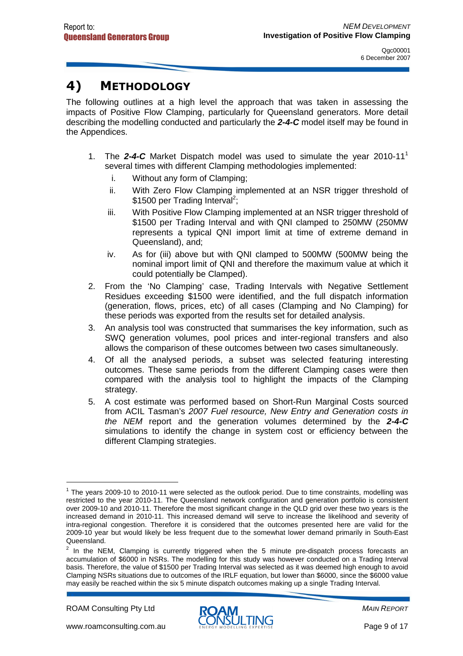# 4) METHODOLOGY

The following outlines at a high level the approach that was taken in assessing the impacts of Positive Flow Clamping, particularly for Queensland generators. More detail describing the modelling conducted and particularly the **2-4-C** model itself may be found in the Appendices.

- 1. The **2-4-C** Market Dispatch model was used to simulate the year 2010-11<sup>1</sup> several times with different Clamping methodologies implemented:
	- i. Without any form of Clamping;
	- ii. With Zero Flow Clamping implemented at an NSR trigger threshold of \$1500 per Trading Interval<sup>2</sup>;
	- iii. With Positive Flow Clamping implemented at an NSR trigger threshold of \$1500 per Trading Interval and with QNI clamped to 250MW (250MW represents a typical QNI import limit at time of extreme demand in Queensland), and;
	- iv. As for (iii) above but with QNI clamped to 500MW (500MW being the nominal import limit of QNI and therefore the maximum value at which it could potentially be Clamped).
- 2. From the 'No Clamping' case, Trading Intervals with Negative Settlement Residues exceeding \$1500 were identified, and the full dispatch information (generation, flows, prices, etc) of all cases (Clamping and No Clamping) for these periods was exported from the results set for detailed analysis.
- 3. An analysis tool was constructed that summarises the key information, such as SWQ generation volumes, pool prices and inter-regional transfers and also allows the comparison of these outcomes between two cases simultaneously.
- 4. Of all the analysed periods, a subset was selected featuring interesting outcomes. These same periods from the different Clamping cases were then compared with the analysis tool to highlight the impacts of the Clamping strategy.
- 5. A cost estimate was performed based on Short-Run Marginal Costs sourced from ACIL Tasman's 2007 Fuel resource, New Entry and Generation costs in the NEM report and the generation volumes determined by the **2-4-C** simulations to identify the change in system cost or efficiency between the different Clamping strategies.

ROAM Consulting Pty Ltd

 $\overline{a}$ 



 $1$  The years 2009-10 to 2010-11 were selected as the outlook period. Due to time constraints, modelling was restricted to the year 2010-11. The Queensland network configuration and generation portfolio is consistent over 2009-10 and 2010-11. Therefore the most significant change in the QLD grid over these two years is the increased demand in 2010-11. This increased demand will serve to increase the likelihood and severity of intra-regional congestion. Therefore it is considered that the outcomes presented here are valid for the 2009-10 year but would likely be less frequent due to the somewhat lower demand primarily in South-East Queensland.

 $2$  In the NEM, Clamping is currently triggered when the 5 minute pre-dispatch process forecasts an accumulation of \$6000 in NSRs. The modelling for this study was however conducted on a Trading Interval basis. Therefore, the value of \$1500 per Trading Interval was selected as it was deemed high enough to avoid Clamping NSRs situations due to outcomes of the IRLF equation, but lower than \$6000, since the \$6000 value may easily be reached within the six 5 minute dispatch outcomes making up a single Trading Interval.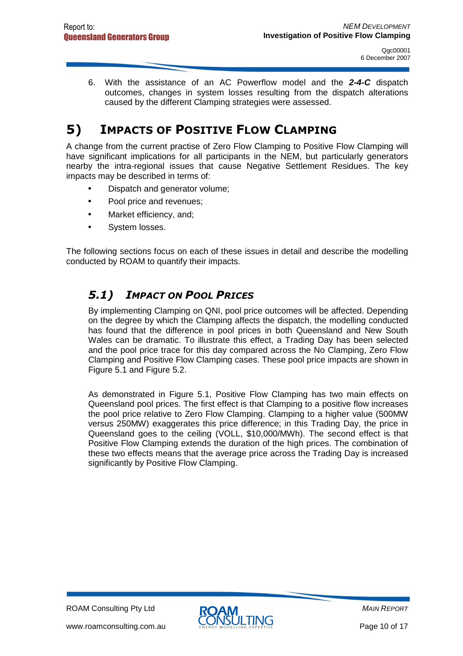6. With the assistance of an AC Powerflow model and the **2-4-C** dispatch outcomes, changes in system losses resulting from the dispatch alterations caused by the different Clamping strategies were assessed.

# 5) IMPACTS OF POSITIVE FLOW CLAMPING

A change from the current practise of Zero Flow Clamping to Positive Flow Clamping will have significant implications for all participants in the NEM, but particularly generators nearby the intra-regional issues that cause Negative Settlement Residues. The key impacts may be described in terms of:

- Dispatch and generator volume;
- Pool price and revenues;
- Market efficiency, and;
- System losses.

The following sections focus on each of these issues in detail and describe the modelling conducted by ROAM to quantify their impacts.

#### 5.1) IMPACT ON POOL PRICES

By implementing Clamping on QNI, pool price outcomes will be affected. Depending on the degree by which the Clamping affects the dispatch, the modelling conducted has found that the difference in pool prices in both Queensland and New South Wales can be dramatic. To illustrate this effect, a Trading Day has been selected and the pool price trace for this day compared across the No Clamping, Zero Flow Clamping and Positive Flow Clamping cases. These pool price impacts are shown in Figure 5.1 and Figure 5.2.

As demonstrated in Figure 5.1, Positive Flow Clamping has two main effects on Queensland pool prices. The first effect is that Clamping to a positive flow increases the pool price relative to Zero Flow Clamping. Clamping to a higher value (500MW versus 250MW) exaggerates this price difference; in this Trading Day, the price in Queensland goes to the ceiling (VOLL, \$10,000/MWh). The second effect is that Positive Flow Clamping extends the duration of the high prices. The combination of these two effects means that the average price across the Trading Day is increased significantly by Positive Flow Clamping.

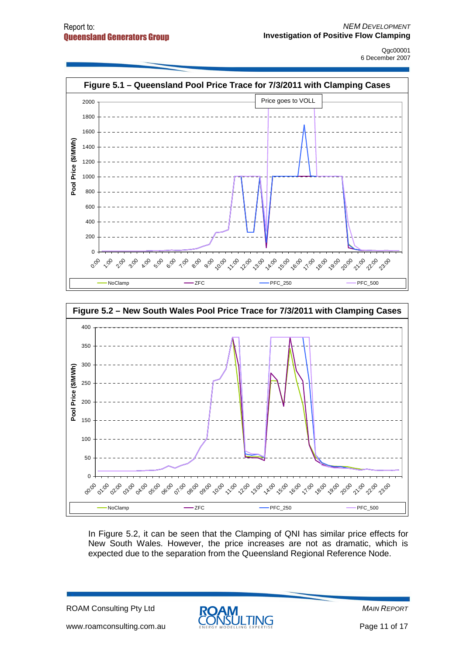



In Figure 5.2, it can be seen that the Clamping of QNI has similar price effects for New South Wales. However, the price increases are not as dramatic, which is expected due to the separation from the Queensland Regional Reference Node.

ROAM Consulting Pty Ltd

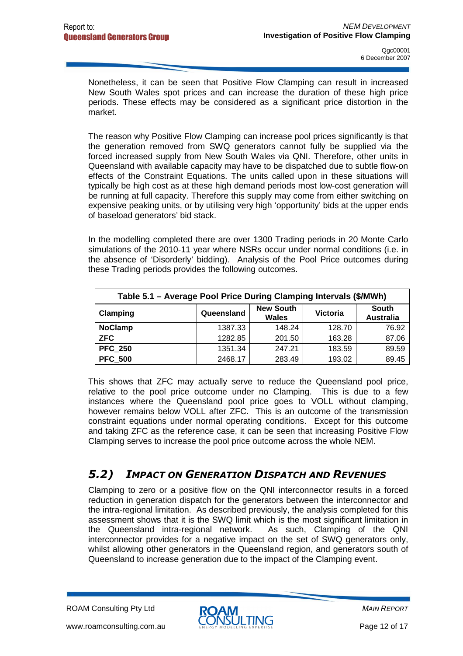Nonetheless, it can be seen that Positive Flow Clamping can result in increased New South Wales spot prices and can increase the duration of these high price periods. These effects may be considered as a significant price distortion in the market.

The reason why Positive Flow Clamping can increase pool prices significantly is that the generation removed from SWQ generators cannot fully be supplied via the forced increased supply from New South Wales via QNI. Therefore, other units in Queensland with available capacity may have to be dispatched due to subtle flow-on effects of the Constraint Equations. The units called upon in these situations will typically be high cost as at these high demand periods most low-cost generation will be running at full capacity. Therefore this supply may come from either switching on expensive peaking units, or by utilising very high 'opportunity' bids at the upper ends of baseload generators' bid stack.

In the modelling completed there are over 1300 Trading periods in 20 Monte Carlo simulations of the 2010-11 year where NSRs occur under normal conditions (i.e. in the absence of 'Disorderly' bidding). Analysis of the Pool Price outcomes during these Trading periods provides the following outcomes.

| Table 5.1 - Average Pool Price During Clamping Intervals (\$/MWh) |            |                                  |                 |                           |  |  |  |  |
|-------------------------------------------------------------------|------------|----------------------------------|-----------------|---------------------------|--|--|--|--|
| Clamping                                                          | Queensland | <b>New South</b><br><b>Wales</b> | <b>Victoria</b> | South<br><b>Australia</b> |  |  |  |  |
| <b>NoClamp</b>                                                    | 1387.33    | 148.24                           | 128.70          | 76.92                     |  |  |  |  |
| <b>ZFC</b>                                                        | 1282.85    | 201.50                           | 163.28          | 87.06                     |  |  |  |  |
| <b>PFC 250</b>                                                    | 1351.34    | 247.21                           | 183.59          | 89.59                     |  |  |  |  |
| <b>PFC 500</b>                                                    | 2468.17    | 283.49                           | 193.02          | 89.45                     |  |  |  |  |

This shows that ZFC may actually serve to reduce the Queensland pool price, relative to the pool price outcome under no Clamping. This is due to a few instances where the Queensland pool price goes to VOLL without clamping, however remains below VOLL after ZFC. This is an outcome of the transmission constraint equations under normal operating conditions. Except for this outcome and taking ZFC as the reference case, it can be seen that increasing Positive Flow Clamping serves to increase the pool price outcome across the whole NEM.

#### 5.2) IMPACT ON GENERATION DISPATCH AND REVENUES

Clamping to zero or a positive flow on the QNI interconnector results in a forced reduction in generation dispatch for the generators between the interconnector and the intra-regional limitation. As described previously, the analysis completed for this assessment shows that it is the SWQ limit which is the most significant limitation in the Queensland intra-regional network. As such, Clamping of the QNI interconnector provides for a negative impact on the set of SWQ generators only, whilst allowing other generators in the Queensland region, and generators south of Queensland to increase generation due to the impact of the Clamping event.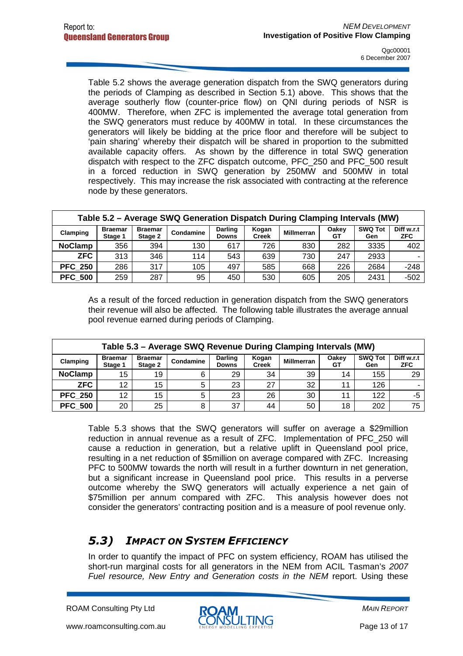Table 5.2 shows the average generation dispatch from the SWQ generators during the periods of Clamping as described in Section 5.1) above. This shows that the average southerly flow (counter-price flow) on QNI during periods of NSR is 400MW. Therefore, when ZFC is implemented the average total generation from the SWQ generators must reduce by 400MW in total. In these circumstances the generators will likely be bidding at the price floor and therefore will be subject to 'pain sharing' whereby their dispatch will be shared in proportion to the submitted available capacity offers. As shown by the difference in total SWQ generation dispatch with respect to the ZFC dispatch outcome, PFC\_250 and PFC\_500 result in a forced reduction in SWQ generation by 250MW and 500MW in total respectively. This may increase the risk associated with contracting at the reference node by these generators.

| Table 5.2 – Average SWQ Generation Dispatch During Clamping Intervals (MW) |                           |                           |           |                                |                       |                   |             |                       |                          |
|----------------------------------------------------------------------------|---------------------------|---------------------------|-----------|--------------------------------|-----------------------|-------------------|-------------|-----------------------|--------------------------|
| Clamping                                                                   | <b>Braemar</b><br>Stage 1 | <b>Braemar</b><br>Stage 2 | Condamine | <b>Darling</b><br><b>Downs</b> | Kogan<br><b>Creek</b> | <b>Millmerran</b> | Oakey<br>GТ | <b>SWQ Tot</b><br>Gen | Diff w.r.t<br><b>ZFC</b> |
| <b>NoClamp</b>                                                             | 356                       | 394                       | 130       | 617                            | 726                   | 830               | 282         | 3335                  | 402                      |
| <b>ZFC</b>                                                                 | 313                       | 346                       | 114       | 543                            | 639                   | 730               | 247         | 2933                  |                          |
| <b>PFC 250</b>                                                             | 286                       | 317                       | 105       | 497                            | 585                   | 668               | 226         | 2684                  | $-248$                   |
| <b>PFC 500</b>                                                             | 259                       | 287                       | 95        | 450                            | 530                   | 605               | 205         | 2431                  | $-502$                   |

As a result of the forced reduction in generation dispatch from the SWQ generators their revenue will also be affected. The following table illustrates the average annual pool revenue earned during periods of Clamping.

| Table 5.3 - Average SWQ Revenue During Clamping Intervals (MW) |                           |                    |           |                                |                       |                   |             |                       |                          |
|----------------------------------------------------------------|---------------------------|--------------------|-----------|--------------------------------|-----------------------|-------------------|-------------|-----------------------|--------------------------|
| Clamping                                                       | <b>Braemar</b><br>Stage 1 | Braemar<br>Stage 2 | Condamine | <b>Darling</b><br><b>Downs</b> | Kogan<br><b>Creek</b> | <b>Millmerran</b> | Oakev<br>GТ | <b>SWQ Tot</b><br>Gen | Diff w.r.t<br><b>ZFC</b> |
| <b>NoClamp</b>                                                 | 15                        | 19                 | 6         | 29                             | 34                    | 39                | 14          | 155                   | 29                       |
| <b>ZFC</b>                                                     | 12                        | 15                 | 5         | 23                             | 27                    | 32                | 11          | 126                   |                          |
| <b>PFC 250</b>                                                 | 12                        | 15                 | 5         | 23                             | 26                    | 30                | - 14        | 122                   | -5                       |
| <b>PFC 500</b>                                                 | 20                        | 25                 | 8         | 37                             | 44                    | 50                | 18          | 202                   | 75                       |

Table 5.3 shows that the SWQ generators will suffer on average a \$29million reduction in annual revenue as a result of ZFC. Implementation of PFC\_250 will cause a reduction in generation, but a relative uplift in Queensland pool price, resulting in a net reduction of \$5million on average compared with ZFC. Increasing PFC to 500MW towards the north will result in a further downturn in net generation, but a significant increase in Queensland pool price. This results in a perverse outcome whereby the SWQ generators will actually experience a net gain of \$75million per annum compared with ZFC. This analysis however does not consider the generators' contracting position and is a measure of pool revenue only.

#### 5.3) IMPACT ON SYSTEM EFFICIENCY

In order to quantify the impact of PFC on system efficiency, ROAM has utilised the short-run marginal costs for all generators in the NEM from ACIL Tasman's 2007 Fuel resource, New Entry and Generation costs in the NEM report. Using these

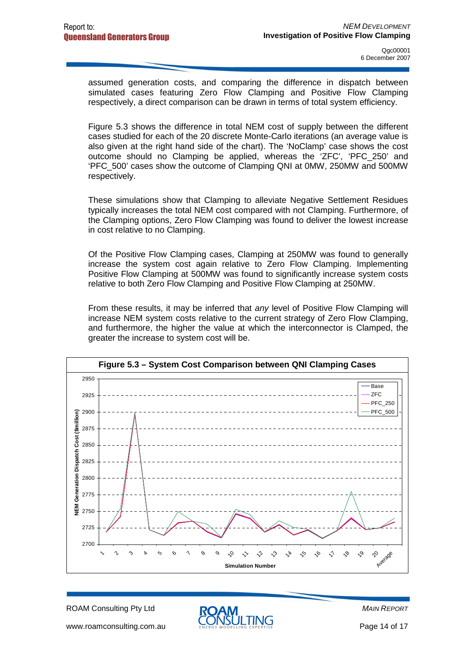assumed generation costs, and comparing the difference in dispatch between simulated cases featuring Zero Flow Clamping and Positive Flow Clamping respectively, a direct comparison can be drawn in terms of total system efficiency.

Figure 5.3 shows the difference in total NEM cost of supply between the different cases studied for each of the 20 discrete Monte-Carlo iterations (an average value is also given at the right hand side of the chart). The 'NoClamp' case shows the cost outcome should no Clamping be applied, whereas the 'ZFC', 'PFC\_250' and 'PFC\_500' cases show the outcome of Clamping QNI at 0MW, 250MW and 500MW respectively.

These simulations show that Clamping to alleviate Negative Settlement Residues typically increases the total NEM cost compared with not Clamping. Furthermore, of the Clamping options, Zero Flow Clamping was found to deliver the lowest increase in cost relative to no Clamping.

Of the Positive Flow Clamping cases, Clamping at 250MW was found to generally increase the system cost again relative to Zero Flow Clamping. Implementing Positive Flow Clamping at 500MW was found to significantly increase system costs relative to both Zero Flow Clamping and Positive Flow Clamping at 250MW.

From these results, it may be inferred that any level of Positive Flow Clamping will increase NEM system costs relative to the current strategy of Zero Flow Clamping, and furthermore, the higher the value at which the interconnector is Clamped, the greater the increase to system cost will be.



ROAM Consulting Pty Ltd

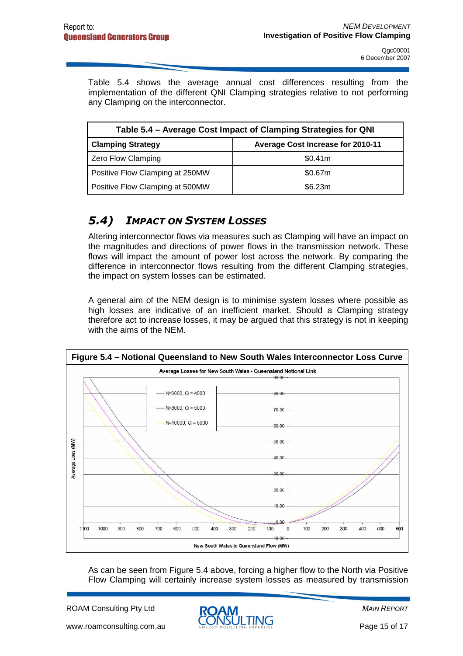Table 5.4 shows the average annual cost differences resulting from the implementation of the different QNI Clamping strategies relative to not performing any Clamping on the interconnector.

| Table 5.4 – Average Cost Impact of Clamping Strategies for QNI |                                          |  |  |  |  |  |
|----------------------------------------------------------------|------------------------------------------|--|--|--|--|--|
| <b>Clamping Strategy</b>                                       | <b>Average Cost Increase for 2010-11</b> |  |  |  |  |  |
| Zero Flow Clamping                                             | \$0.41m                                  |  |  |  |  |  |
| Positive Flow Clamping at 250MW                                | \$0.67m                                  |  |  |  |  |  |
| Positive Flow Clamping at 500MW                                | \$6.23m                                  |  |  |  |  |  |

#### 5.4) IMPACT ON SYSTEM LOSSES

Altering interconnector flows via measures such as Clamping will have an impact on the magnitudes and directions of power flows in the transmission network. These flows will impact the amount of power lost across the network. By comparing the difference in interconnector flows resulting from the different Clamping strategies, the impact on system losses can be estimated.

A general aim of the NEM design is to minimise system losses where possible as high losses are indicative of an inefficient market. Should a Clamping strategy therefore act to increase losses, it may be argued that this strategy is not in keeping with the aims of the NEM.



As can be seen from Figure 5.4 above, forcing a higher flow to the North via Positive Flow Clamping will certainly increase system losses as measured by transmission

ROAM Consulting Pty Ltd

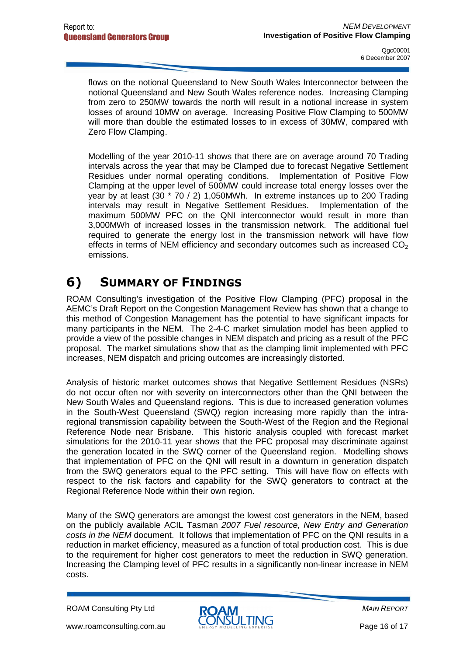flows on the notional Queensland to New South Wales Interconnector between the notional Queensland and New South Wales reference nodes. Increasing Clamping from zero to 250MW towards the north will result in a notional increase in system losses of around 10MW on average. Increasing Positive Flow Clamping to 500MW will more than double the estimated losses to in excess of 30MW, compared with Zero Flow Clamping.

Modelling of the year 2010-11 shows that there are on average around 70 Trading intervals across the year that may be Clamped due to forecast Negative Settlement Residues under normal operating conditions. Implementation of Positive Flow Clamping at the upper level of 500MW could increase total energy losses over the year by at least (30 \* 70 / 2) 1,050MWh. In extreme instances up to 200 Trading intervals may result in Negative Settlement Residues. Implementation of the maximum 500MW PFC on the QNI interconnector would result in more than 3,000MWh of increased losses in the transmission network. The additional fuel required to generate the energy lost in the transmission network will have flow effects in terms of NEM efficiency and secondary outcomes such as increased  $CO<sub>2</sub>$ emissions.

# 6) SUMMARY OF FINDINGS

ROAM Consulting's investigation of the Positive Flow Clamping (PFC) proposal in the AEMC's Draft Report on the Congestion Management Review has shown that a change to this method of Congestion Management has the potential to have significant impacts for many participants in the NEM. The 2-4-C market simulation model has been applied to provide a view of the possible changes in NEM dispatch and pricing as a result of the PFC proposal. The market simulations show that as the clamping limit implemented with PFC increases, NEM dispatch and pricing outcomes are increasingly distorted.

Analysis of historic market outcomes shows that Negative Settlement Residues (NSRs) do not occur often nor with severity on interconnectors other than the QNI between the New South Wales and Queensland regions. This is due to increased generation volumes in the South-West Queensland (SWQ) region increasing more rapidly than the intraregional transmission capability between the South-West of the Region and the Regional Reference Node near Brisbane. This historic analysis coupled with forecast market simulations for the 2010-11 year shows that the PFC proposal may discriminate against the generation located in the SWQ corner of the Queensland region. Modelling shows that implementation of PFC on the QNI will result in a downturn in generation dispatch from the SWQ generators equal to the PFC setting. This will have flow on effects with respect to the risk factors and capability for the SWQ generators to contract at the Regional Reference Node within their own region.

Many of the SWQ generators are amongst the lowest cost generators in the NEM, based on the publicly available ACIL Tasman 2007 Fuel resource, New Entry and Generation costs in the NEM document. It follows that implementation of PFC on the QNI results in a reduction in market efficiency, measured as a function of total production cost. This is due to the requirement for higher cost generators to meet the reduction in SWQ generation. Increasing the Clamping level of PFC results in a significantly non-linear increase in NEM costs.

ROAM Consulting Pty Ltd

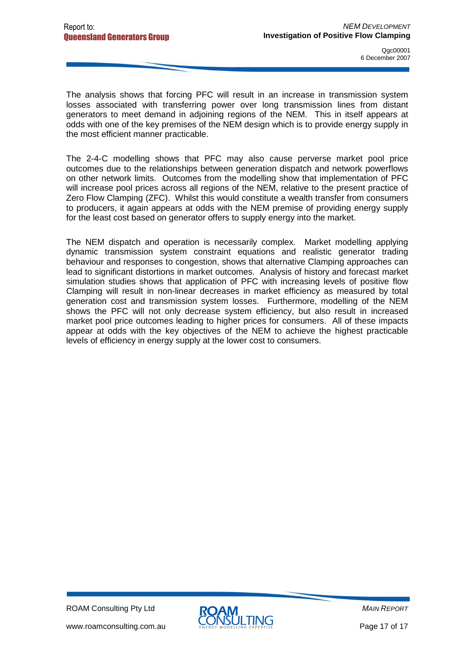The analysis shows that forcing PFC will result in an increase in transmission system losses associated with transferring power over long transmission lines from distant generators to meet demand in adjoining regions of the NEM. This in itself appears at odds with one of the key premises of the NEM design which is to provide energy supply in the most efficient manner practicable.

The 2-4-C modelling shows that PFC may also cause perverse market pool price outcomes due to the relationships between generation dispatch and network powerflows on other network limits. Outcomes from the modelling show that implementation of PFC will increase pool prices across all regions of the NEM, relative to the present practice of Zero Flow Clamping (ZFC). Whilst this would constitute a wealth transfer from consumers to producers, it again appears at odds with the NEM premise of providing energy supply for the least cost based on generator offers to supply energy into the market.

The NEM dispatch and operation is necessarily complex. Market modelling applying dynamic transmission system constraint equations and realistic generator trading behaviour and responses to congestion, shows that alternative Clamping approaches can lead to significant distortions in market outcomes. Analysis of history and forecast market simulation studies shows that application of PFC with increasing levels of positive flow Clamping will result in non-linear decreases in market efficiency as measured by total generation cost and transmission system losses. Furthermore, modelling of the NEM shows the PFC will not only decrease system efficiency, but also result in increased market pool price outcomes leading to higher prices for consumers. All of these impacts appear at odds with the key objectives of the NEM to achieve the highest practicable levels of efficiency in energy supply at the lower cost to consumers.

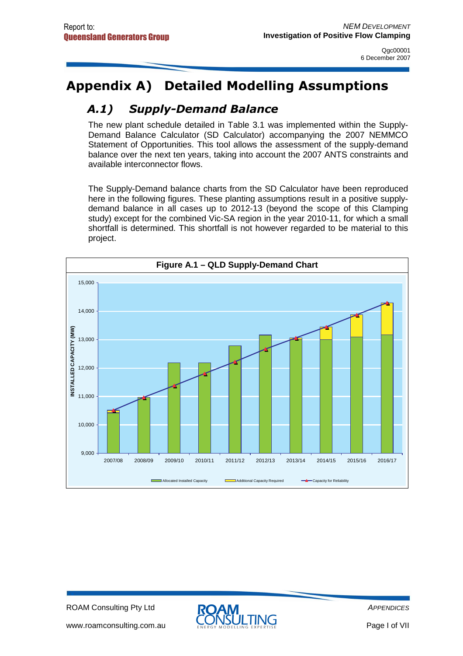# Appendix A) Detailed Modelling Assumptions

# A.1) Supply-Demand Balance

The new plant schedule detailed in Table 3.1 was implemented within the Supply-Demand Balance Calculator (SD Calculator) accompanying the 2007 NEMMCO Statement of Opportunities. This tool allows the assessment of the supply-demand balance over the next ten years, taking into account the 2007 ANTS constraints and available interconnector flows.

The Supply-Demand balance charts from the SD Calculator have been reproduced here in the following figures. These planting assumptions result in a positive supplydemand balance in all cases up to 2012-13 (beyond the scope of this Clamping study) except for the combined Vic-SA region in the year 2010-11, for which a small shortfall is determined. This shortfall is not however regarded to be material to this project.



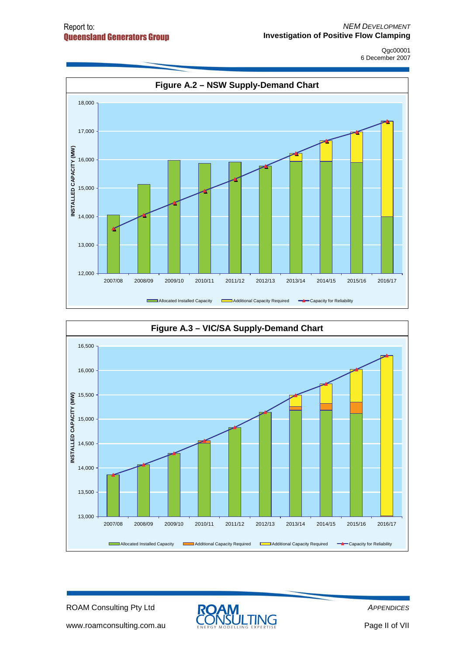



ROAM Consulting Pty Ltd



**APPENDICES** 

www.roamconsulting.com.au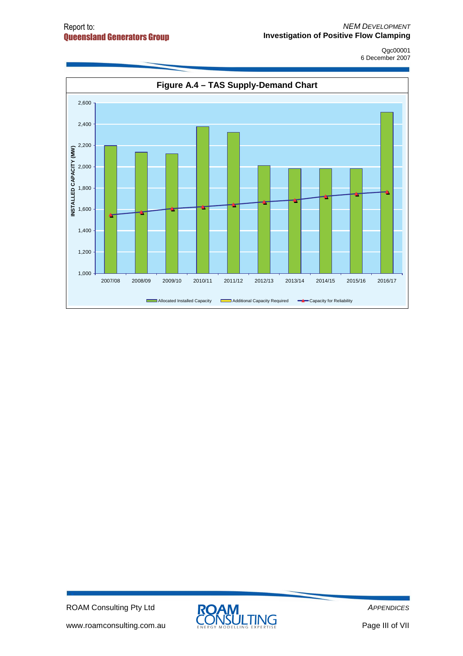

ROAM Consulting Pty Ltd

www.roamconsulting.com.au



**APPENDICES**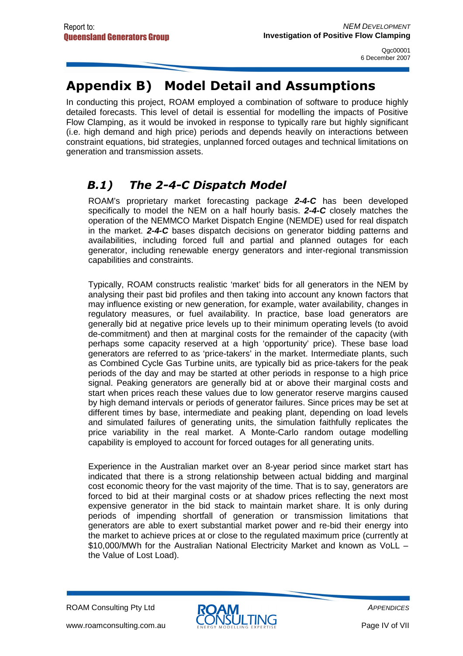# Appendix B) Model Detail and Assumptions

In conducting this project, ROAM employed a combination of software to produce highly detailed forecasts. This level of detail is essential for modelling the impacts of Positive Flow Clamping, as it would be invoked in response to typically rare but highly significant (i.e. high demand and high price) periods and depends heavily on interactions between constraint equations, bid strategies, unplanned forced outages and technical limitations on generation and transmission assets.

### B.1) The 2-4-C Dispatch Model

ROAM's proprietary market forecasting package **2-4-C** has been developed specifically to model the NEM on a half hourly basis. **2-4-C** closely matches the operation of the NEMMCO Market Dispatch Engine (NEMDE) used for real dispatch in the market. **2-4-C** bases dispatch decisions on generator bidding patterns and availabilities, including forced full and partial and planned outages for each generator, including renewable energy generators and inter-regional transmission capabilities and constraints.

Typically, ROAM constructs realistic 'market' bids for all generators in the NEM by analysing their past bid profiles and then taking into account any known factors that may influence existing or new generation, for example, water availability, changes in regulatory measures, or fuel availability. In practice, base load generators are generally bid at negative price levels up to their minimum operating levels (to avoid de-commitment) and then at marginal costs for the remainder of the capacity (with perhaps some capacity reserved at a high 'opportunity' price). These base load generators are referred to as 'price-takers' in the market. Intermediate plants, such as Combined Cycle Gas Turbine units, are typically bid as price-takers for the peak periods of the day and may be started at other periods in response to a high price signal. Peaking generators are generally bid at or above their marginal costs and start when prices reach these values due to low generator reserve margins caused by high demand intervals or periods of generator failures. Since prices may be set at different times by base, intermediate and peaking plant, depending on load levels and simulated failures of generating units, the simulation faithfully replicates the price variability in the real market. A Monte-Carlo random outage modelling capability is employed to account for forced outages for all generating units.

Experience in the Australian market over an 8-year period since market start has indicated that there is a strong relationship between actual bidding and marginal cost economic theory for the vast majority of the time. That is to say, generators are forced to bid at their marginal costs or at shadow prices reflecting the next most expensive generator in the bid stack to maintain market share. It is only during periods of impending shortfall of generation or transmission limitations that generators are able to exert substantial market power and re-bid their energy into the market to achieve prices at or close to the regulated maximum price (currently at \$10,000/MWh for the Australian National Electricity Market and known as VoLL – the Value of Lost Load).

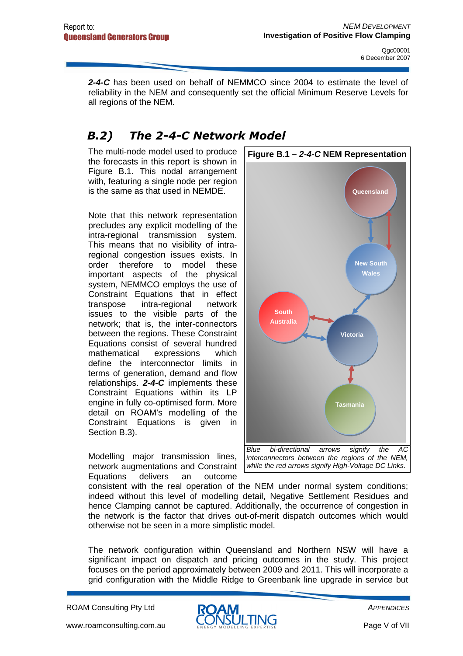**2-4-C** has been used on behalf of NEMMCO since 2004 to estimate the level of reliability in the NEM and consequently set the official Minimum Reserve Levels for all regions of the NEM.

### B.2) The 2-4-C Network Model

The multi-node model used to produce the forecasts in this report is shown in Figure B.1. This nodal arrangement with, featuring a single node per region is the same as that used in NEMDE.

Note that this network representation precludes any explicit modelling of the intra-regional transmission system. This means that no visibility of intraregional congestion issues exists. In order therefore to model these important aspects of the physical system, NEMMCO employs the use of Constraint Equations that in effect transpose intra-regional network issues to the visible parts of the network; that is, the inter-connectors between the regions. These Constraint Equations consist of several hundred mathematical expressions which define the interconnector limits in terms of generation, demand and flow relationships. **2-4-C** implements these Constraint Equations within its LP engine in fully co-optimised form. More detail on ROAM's modelling of the Constraint Equations is given in Section B.3).

Modelling major transmission lines, network augmentations and Constraint Equations delivers an outcome



consistent with the real operation of the NEM under normal system conditions; indeed without this level of modelling detail, Negative Settlement Residues and hence Clamping cannot be captured. Additionally, the occurrence of congestion in the network is the factor that drives out-of-merit dispatch outcomes which would otherwise not be seen in a more simplistic model.

The network configuration within Queensland and Northern NSW will have a significant impact on dispatch and pricing outcomes in the study. This project focuses on the period approximately between 2009 and 2011. This will incorporate a grid configuration with the Middle Ridge to Greenbank line upgrade in service but

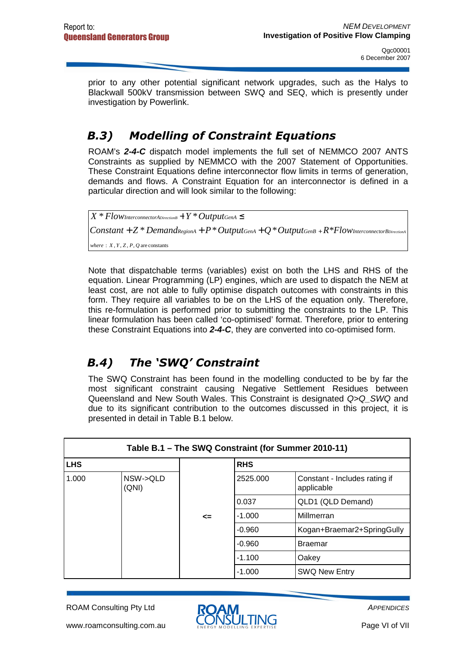prior to any other potential significant network upgrades, such as the Halys to Blackwall 500kV transmission between SWQ and SEQ, which is presently under investigation by Powerlink.

### B.3) Modelling of Constraint Equations

ROAM's **2-4-C** dispatch model implements the full set of NEMMCO 2007 ANTS Constraints as supplied by NEMMCO with the 2007 Statement of Opportunities. These Constraint Equations define interconnector flow limits in terms of generation, demands and flows. A Constraint Equation for an interconnector is defined in a particular direction and will look similar to the following:

 $where: X, Y, Z, P, Q are constants$  $Constant+Z*Bem and$  $RegionA+P*OutputGenA+Q*Output GenB+R*Flow$ InterconnectorBDirectionA  $X * Flow$  InterconnectorADirectionB  $+$   $Y * Output$  GenA  $\leq$ 

Note that dispatchable terms (variables) exist on both the LHS and RHS of the equation. Linear Programming (LP) engines, which are used to dispatch the NEM at least cost, are not able to fully optimise dispatch outcomes with constraints in this form. They require all variables to be on the LHS of the equation only. Therefore, this re-formulation is performed prior to submitting the constraints to the LP. This linear formulation has been called 'co-optimised' format. Therefore, prior to entering these Constraint Equations into **2-4-C**, they are converted into co-optimised form.

### B.4) The 'SWQ' Constraint

The SWQ Constraint has been found in the modelling conducted to be by far the most significant constraint causing Negative Settlement Residues between Queensland and New South Wales. This Constraint is designated Q>Q\_SWQ and due to its significant contribution to the outcomes discussed in this project, it is presented in detail in Table B.1 below.

| Table B.1 - The SWQ Constraint (for Summer 2010-11) |                   |    |            |                                             |  |  |  |
|-----------------------------------------------------|-------------------|----|------------|---------------------------------------------|--|--|--|
| <b>LHS</b>                                          |                   |    | <b>RHS</b> |                                             |  |  |  |
| 1.000                                               | NSW->QLD<br>(QNI) |    | 2525.000   | Constant - Includes rating if<br>applicable |  |  |  |
|                                                     |                   |    | 0.037      | QLD1 (QLD Demand)                           |  |  |  |
|                                                     |                   | <= | $-1.000$   | Millmerran                                  |  |  |  |
|                                                     |                   |    | $-0.960$   | Kogan+Braemar2+SpringGully                  |  |  |  |
|                                                     |                   |    | $-0.960$   | <b>Braemar</b>                              |  |  |  |
|                                                     |                   |    | $-1.100$   | Oakey                                       |  |  |  |
|                                                     |                   |    | $-1.000$   | <b>SWQ New Entry</b>                        |  |  |  |